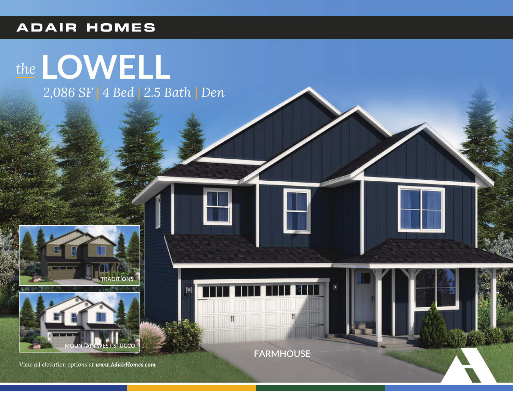### **ADAIR HOMES**

# the LOWELL 2,086 SF | 4 Bed | 2.5 Bath | Den





View all elevation options at www.AdairHomes.com

**FARMHOUSE**